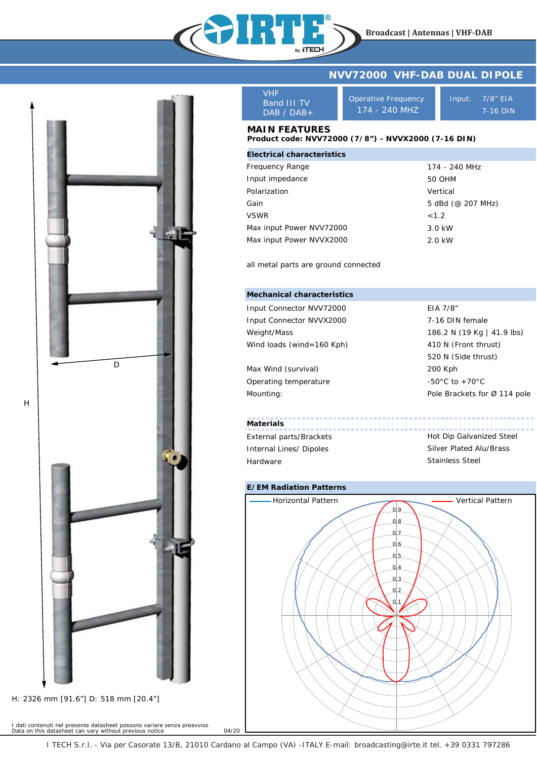



I dati contenuti nel presente datasheet possono variare senza preavviso *Data on this datasheet can vary without previous notice* 04/20

VHF Band III TV DAB / DAB+

Operative Frequency 174 - 240 MHZ

Input: 7/8" EIA 7-16 DIN

## **MAIN FEATURES**

## **Product code: NVV72000 (7/8") - NVVX2000 (7-16 DIN)**

| <b>Electrical characteristics</b> |                   |
|-----------------------------------|-------------------|
| Frequency Range                   | 174 - 240 MHz     |
| Input impedance                   | 50 OHM            |
| Polarization                      | Vertical          |
| Gain                              | 5 dBd (@ 207 MHz) |
| <b>VSWR</b>                       | <1.2              |
| Max input Power NVV72000          | 3.0 kW            |
| Max input Power NVVX2000          | 2.0 kW            |

all metal parts are ground connected

## **Mechanical characteristics**

| Input Connector NVV72000  | EIA 7/8"                           |
|---------------------------|------------------------------------|
| Input Connector NVVX2000  | 7-16 DIN female                    |
| Weight/Mass               | 186.2 N (19 Kg   41.9 lbs)         |
| Wind loads (wind=160 Kph) | 410 N (Front thrust)               |
|                           | 520 N (Side thrust)                |
| Max Wind (survival)       | 200 Kph                            |
| Operating temperature     | $-50^{\circ}$ C to $+70^{\circ}$ C |
| Mounting:                 | Pole Brackets for Ø 114 pole       |
|                           |                                    |

## **Materials**

External parts/Brackets Internal Lines/ Dipoles Hardware

Hot Dip Galvanized Steel Silver Plated Alu/Brass Stainless Steel



I TECH S.r.l. - Via per Casorate 13/B, 21010 Cardano al Campo (VA) -ITALY E-mail: broadcasting@irte.it tel. +39 0331 797286

H